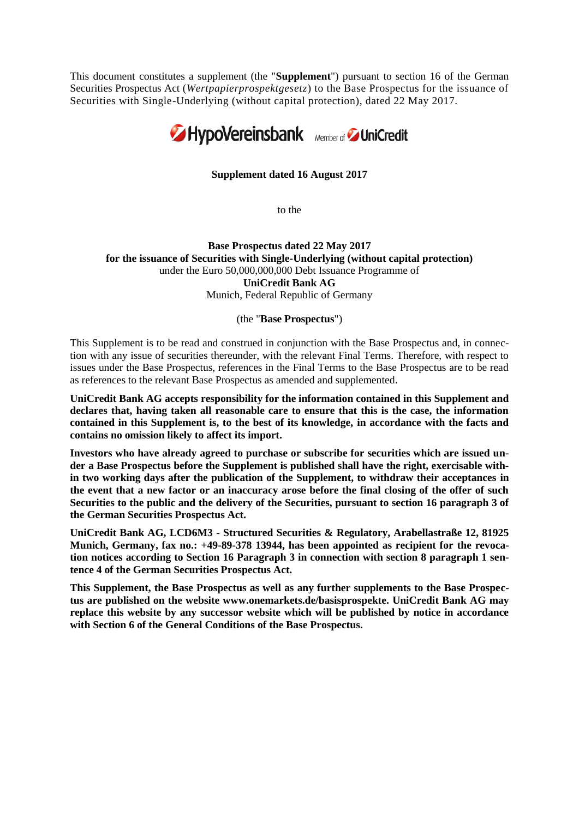This document constitutes a supplement (the "**Supplement**") pursuant to section 16 of the German Securities Prospectus Act (*Wertpapierprospektgesetz*) to the Base Prospectus for the issuance of Securities with Single-Underlying (without capital protection), dated 22 May 2017.



## **Supplement dated 16 August 2017**

to the

## **Base Prospectus dated 22 May 2017 for the issuance of Securities with Single-Underlying (without capital protection)** under the Euro 50,000,000,000 Debt Issuance Programme of **UniCredit Bank AG** Munich, Federal Republic of Germany

#### (the "**Base Prospectus**")

This Supplement is to be read and construed in conjunction with the Base Prospectus and, in connection with any issue of securities thereunder, with the relevant Final Terms. Therefore, with respect to issues under the Base Prospectus, references in the Final Terms to the Base Prospectus are to be read as references to the relevant Base Prospectus as amended and supplemented.

**UniCredit Bank AG accepts responsibility for the information contained in this Supplement and declares that, having taken all reasonable care to ensure that this is the case, the information contained in this Supplement is, to the best of its knowledge, in accordance with the facts and contains no omission likely to affect its import.**

**Investors who have already agreed to purchase or subscribe for securities which are issued under a Base Prospectus before the Supplement is published shall have the right, exercisable within two working days after the publication of the Supplement, to withdraw their acceptances in the event that a new factor or an inaccuracy arose before the final closing of the offer of such Securities to the public and the delivery of the Securities, pursuant to section 16 paragraph 3 of the German Securities Prospectus Act.** 

**UniCredit Bank AG, LCD6M3 - Structured Securities & Regulatory, Arabellastraße 12, 81925 Munich, Germany, fax no.: +49-89-378 13944, has been appointed as recipient for the revocation notices according to Section 16 Paragraph 3 in connection with section 8 paragraph 1 sentence 4 of the German Securities Prospectus Act.**

**This Supplement, the Base Prospectus as well as any further supplements to the Base Prospectus are published on the website www.onemarkets.de/basisprospekte. UniCredit Bank AG may replace this website by any successor website which will be published by notice in accordance with Section 6 of the General Conditions of the Base Prospectus.**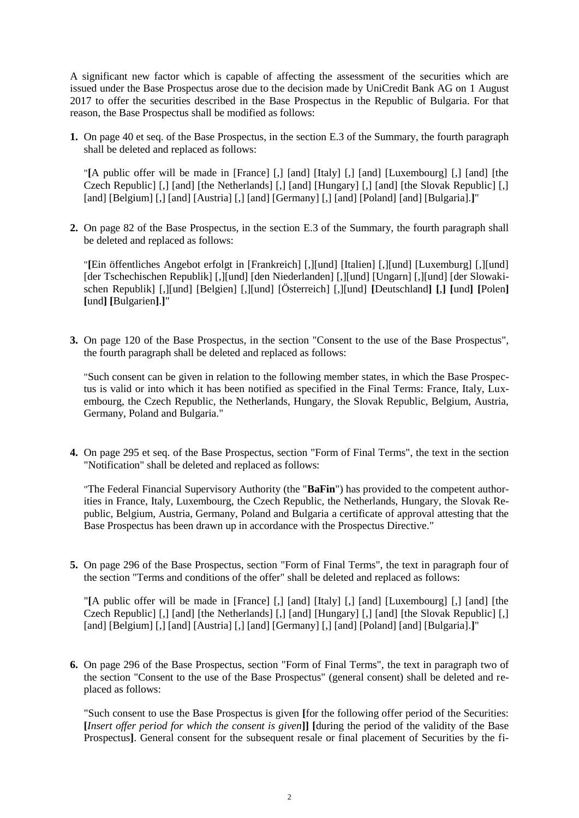A significant new factor which is capable of affecting the assessment of the securities which are issued under the Base Prospectus arose due to the decision made by UniCredit Bank AG on 1 August 2017 to offer the securities described in the Base Prospectus in the Republic of Bulgaria. For that reason, the Base Prospectus shall be modified as follows:

**1.** On page 40 et seq. of the Base Prospectus, in the section E.3 of the Summary, the fourth paragraph shall be deleted and replaced as follows:

"**[**A public offer will be made in [France] [,] [and] [Italy] [,] [and] [Luxembourg] [,] [and] [the Czech Republic] [,] [and] [the Netherlands] [,] [and] [Hungary] [,] [and] [the Slovak Republic] [,] [and] [Belgium] [,] [and] [Austria] [,] [and] [Germany] [,] [and] [Poland] [and] [Bulgaria].]"

**2.** On page 82 of the Base Prospectus, in the section E.3 of the Summary, the fourth paragraph shall be deleted and replaced as follows:

"**[**Ein öffentliches Angebot erfolgt in [Frankreich] [,][und] [Italien] [,][und] [Luxemburg] [,][und] [der Tschechischen Republik] [,][und] [den Niederlanden] [,][und] [Ungarn] [,][und] [der Slowakischen Republik] [,][und] [Belgien] [,][und] [Österreich] [,][und] **[**Deutschland**] [**,**] [**und**] [**Polen**] [**und**] [**Bulgarien**]**.**]**"

**3.** On page 120 of the Base Prospectus, in the section "Consent to the use of the Base Prospectus", the fourth paragraph shall be deleted and replaced as follows:

"Such consent can be given in relation to the following member states, in which the Base Prospectus is valid or into which it has been notified as specified in the Final Terms: France, Italy, Luxembourg, the Czech Republic, the Netherlands, Hungary, the Slovak Republic, Belgium, Austria, Germany, Poland and Bulgaria."

**4.** On page 295 et seq. of the Base Prospectus, section "Form of Final Terms", the text in the section "Notification" shall be deleted and replaced as follows:

"The Federal Financial Supervisory Authority (the "**BaFin**") has provided to the competent authorities in France, Italy, Luxembourg, the Czech Republic, the Netherlands, Hungary, the Slovak Republic, Belgium, Austria, Germany, Poland and Bulgaria a certificate of approval attesting that the Base Prospectus has been drawn up in accordance with the Prospectus Directive."

**5.** On page 296 of the Base Prospectus, section "Form of Final Terms", the text in paragraph four of the section "Terms and conditions of the offer" shall be deleted and replaced as follows:

"**[**A public offer will be made in [France] [,] [and] [Italy] [,] [and] [Luxembourg] [,] [and] [the Czech Republic] [,] [and] [the Netherlands] [,] [and] [Hungary] [,] [and] [the Slovak Republic] [,] [and] [Belgium] [,] [and] [Austria] [,] [and] [Germany] [,] [and] [Poland] [and] [Bulgaria].]"

**6.** On page 296 of the Base Prospectus, section "Form of Final Terms", the text in paragraph two of the section "Consent to the use of the Base Prospectus" (general consent) shall be deleted and replaced as follows:

"Such consent to use the Base Prospectus is given **[**for the following offer period of the Securities: **[***Insert offer period for which the consent is given***]] [**during the period of the validity of the Base Prospectus]. General consent for the subsequent resale or final placement of Securities by the fi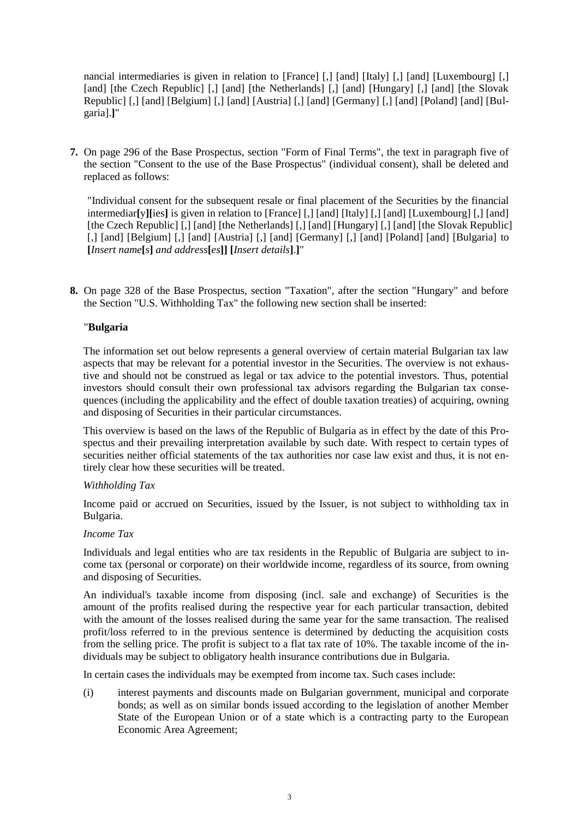nancial intermediaries is given in relation to [France] [,] [and] [Italy] [,] [and] [Luxembourg] [,] [and] [the Czech Republic] [,] [and] [the Netherlands] [,] [and] [Hungary] [,] [and] [the Slovak] Republic] [,] [and] [Belgium] [,] [and] [Austria] [,] [and] [Germany] [,] [and] [Poland] [and] [Bulgaria].**]**"

**7.** On page 296 of the Base Prospectus, section "Form of Final Terms", the text in paragraph five of the section "Consent to the use of the Base Prospectus" (individual consent), shall be deleted and replaced as follows:

"Individual consent for the subsequent resale or final placement of the Securities by the financial intermediar**[**y**][**ies**]** is given in relation to [France] [,] [and] [Italy] [,] [and] [Luxembourg] [,] [and] [the Czech Republic] [,] [and] [the Netherlands] [,] [and] [Hungary] [,] [and] [the Slovak Republic] [,] [and] [Belgium] [,] [and] [Austria] [,] [and] [Germany] [,] [and] [Poland] [and] [Bulgaria] to **[***Insert name***[***s***]** *and address***[***es***]] [***Insert details***]**.**]**"

**8.** On page 328 of the Base Prospectus, section "Taxation", after the section "Hungary" and before the Section "U.S. Withholding Tax" the following new section shall be inserted:

## "**Bulgaria**

The information set out below represents a general overview of certain material Bulgarian tax law aspects that may be relevant for a potential investor in the Securities. The overview is not exhaustive and should not be construed as legal or tax advice to the potential investors. Thus, potential investors should consult their own professional tax advisors regarding the Bulgarian tax consequences (including the applicability and the effect of double taxation treaties) of acquiring, owning and disposing of Securities in their particular circumstances.

This overview is based on the laws of the Republic of Bulgaria as in effect by the date of this Prospectus and their prevailing interpretation available by such date. With respect to certain types of securities neither official statements of the tax authorities nor case law exist and thus, it is not entirely clear how these securities will be treated.

## *Withholding Tax*

Income paid or accrued on Securities, issued by the Issuer, is not subject to withholding tax in Bulgaria.

## *Income Tax*

Individuals and legal entities who are tax residents in the Republic of Bulgaria are subject to income tax (personal or corporate) on their worldwide income, regardless of its source, from owning and disposing of Securities.

An individual's taxable income from disposing (incl. sale and exchange) of Securities is the amount of the profits realised during the respective year for each particular transaction, debited with the amount of the losses realised during the same year for the same transaction. The realised profit/loss referred to in the previous sentence is determined by deducting the acquisition costs from the selling price. The profit is subject to a flat tax rate of 10%. The taxable income of the individuals may be subject to obligatory health insurance contributions due in Bulgaria.

In certain cases the individuals may be exempted from income tax. Such cases include:

(i) interest payments and discounts made on Bulgarian government, municipal and corporate bonds; as well as on similar bonds issued according to the legislation of another Member State of the European Union or of a state which is a contracting party to the European Economic Area Agreement;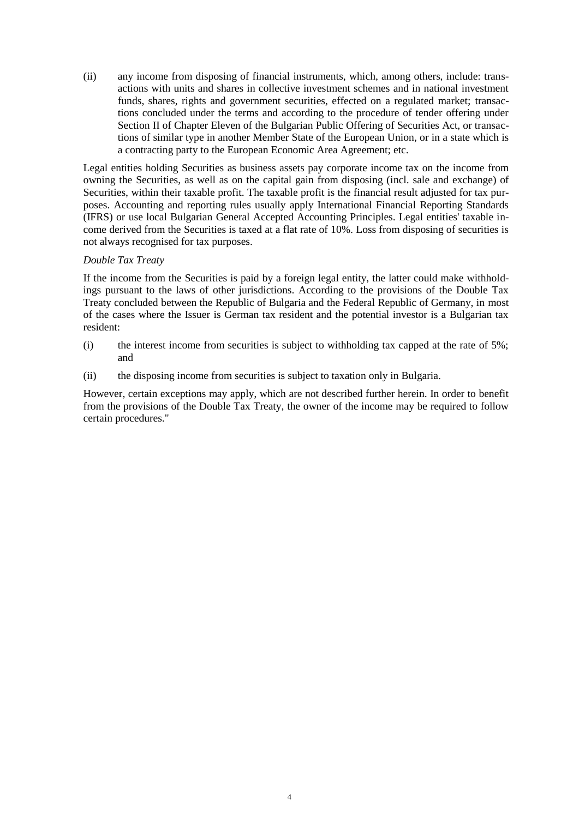(ii) any income from disposing of financial instruments, which, among others, include: transactions with units and shares in collective investment schemes and in national investment funds, shares, rights and government securities, effected on a regulated market; transactions concluded under the terms and according to the procedure of tender offering under Section II of Chapter Eleven of the Bulgarian Public Offering of Securities Act, or transactions of similar type in another Member State of the European Union, or in a state which is a contracting party to the European Economic Area Agreement; etc.

Legal entities holding Securities as business assets pay corporate income tax on the income from owning the Securities, as well as on the capital gain from disposing (incl. sale and exchange) of Securities, within their taxable profit. The taxable profit is the financial result adjusted for tax purposes. Accounting and reporting rules usually apply International Financial Reporting Standards (IFRS) or use local Bulgarian General Accepted Accounting Principles. Legal entities' taxable income derived from the Securities is taxed at a flat rate of 10%. Loss from disposing of securities is not always recognised for tax purposes.

# *Double Tax Treaty*

If the income from the Securities is paid by a foreign legal entity, the latter could make withholdings pursuant to the laws of other jurisdictions. According to the provisions of the Double Tax Treaty concluded between the Republic of Bulgaria and the Federal Republic of Germany, in most of the cases where the Issuer is German tax resident and the potential investor is a Bulgarian tax resident:

- (i) the interest income from securities is subject to withholding tax capped at the rate of 5%; and
- (ii) the disposing income from securities is subject to taxation only in Bulgaria.

However, certain exceptions may apply, which are not described further herein. In order to benefit from the provisions of the Double Tax Treaty, the owner of the income may be required to follow certain procedures."